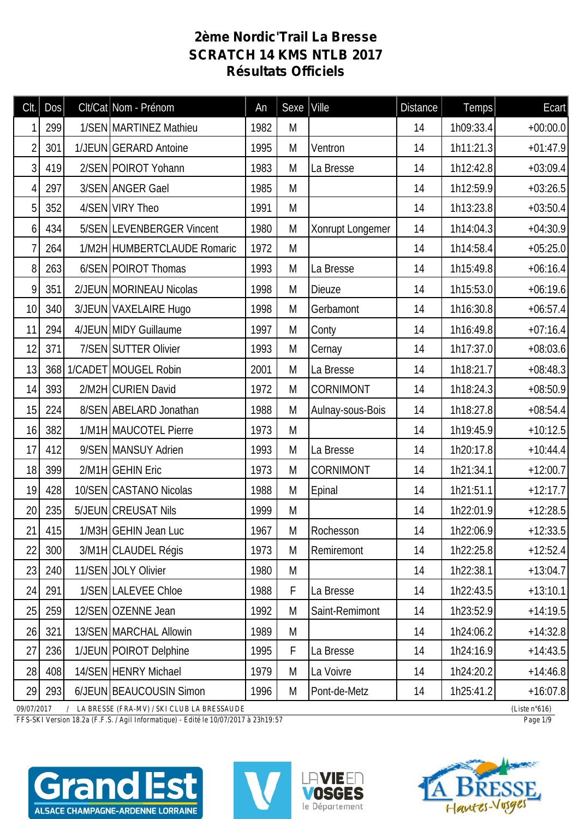## **2ème Nordic'Trail La Bresse SCRATCH 14 KMS NTLB 2017 Résultats Officiels**

| CIt.            | <b>Dos</b>                                                                     |  | Clt/Cat Nom - Prénom        | An   | Sexe | $ $ Ville        | <b>Distance</b> | Temps     | Ecart      |  |  |
|-----------------|--------------------------------------------------------------------------------|--|-----------------------------|------|------|------------------|-----------------|-----------|------------|--|--|
|                 | 299                                                                            |  | 1/SEN MARTINEZ Mathieu      | 1982 | M    |                  | 14              | 1h09:33.4 | $+00:00.0$ |  |  |
| $\overline{2}$  | 301                                                                            |  | 1/JEUN GERARD Antoine       | 1995 | M    | Ventron          | 14              | 1h11:21.3 | $+01:47.9$ |  |  |
| 3               | 419                                                                            |  | 2/SEN POIROT Yohann         | 1983 | M    | La Bresse        | 14              | 1h12:42.8 | $+03:09.4$ |  |  |
| 4               | 297                                                                            |  | 3/SEN ANGER Gael            | 1985 | M    |                  | 14              | 1h12:59.9 | $+03:26.5$ |  |  |
| 5               | 352                                                                            |  | 4/SEN VIRY Theo             | 1991 | M    |                  | 14              | 1h13:23.8 | $+03:50.4$ |  |  |
| 6               | 434                                                                            |  | 5/SEN LEVENBERGER Vincent   | 1980 | M    | Xonrupt Longemer | 14              | 1h14:04.3 | $+04:30.9$ |  |  |
|                 | 264                                                                            |  | 1/M2H HUMBERTCLAUDE Romaric | 1972 | M    |                  | 14              | 1h14:58.4 | $+05:25.0$ |  |  |
| 8               | 263                                                                            |  | 6/SEN POIROT Thomas         | 1993 | M    | La Bresse        | 14              | 1h15:49.8 | $+06:16.4$ |  |  |
| 9               | 351                                                                            |  | 2/JEUN MORINEAU Nicolas     | 1998 | M    | <b>Dieuze</b>    | 14              | 1h15:53.0 | $+06:19.6$ |  |  |
| 10              | 340                                                                            |  | 3/JEUN VAXELAIRE Hugo       | 1998 | M    | Gerbamont        | 14              | 1h16:30.8 | $+06:57.4$ |  |  |
| 11              | 294                                                                            |  | 4/JEUN MIDY Guillaume       | 1997 | M    | Conty            | 14              | 1h16:49.8 | $+07:16.4$ |  |  |
| 12              | 371                                                                            |  | 7/SEN SUTTER Olivier        | 1993 | M    | Cernay           | 14              | 1h17:37.0 | $+08:03.6$ |  |  |
| 13              | 368                                                                            |  | 1/CADET MOUGEL Robin        | 2001 | M    | La Bresse        | 14              | 1h18:21.7 | $+08:48.3$ |  |  |
| 14              | 393                                                                            |  | 2/M2H CURIEN David          | 1972 | M    | CORNIMONT        | 14              | 1h18:24.3 | $+08:50.9$ |  |  |
| 15              | 224                                                                            |  | 8/SEN ABELARD Jonathan      | 1988 | M    | Aulnay-sous-Bois | 14              | 1h18:27.8 | $+08:54.4$ |  |  |
| 16              | 382                                                                            |  | 1/M1H MAUCOTEL Pierre       | 1973 | M    |                  | 14              | 1h19:45.9 | $+10:12.5$ |  |  |
| 17              | 412                                                                            |  | 9/SEN MANSUY Adrien         | 1993 | M    | La Bresse        | 14              | 1h20:17.8 | $+10:44.4$ |  |  |
| 18              | 399                                                                            |  | 2/M1H GEHIN Eric            | 1973 | M    | <b>CORNIMONT</b> | 14              | 1h21:34.1 | $+12:00.7$ |  |  |
| 19              | 428                                                                            |  | 10/SEN CASTANO Nicolas      | 1988 | M    | Epinal           | 14              | 1h21:51.1 | $+12:17.7$ |  |  |
| 20 <sup>1</sup> | 235                                                                            |  | 5/JEUN CREUSAT Nils         | 1999 | M    |                  | 14              | 1h22:01.9 | $+12:28.5$ |  |  |
| 21              | 415                                                                            |  | 1/M3H GEHIN Jean Luc        | 1967 | M    | Rochesson        | 14              | 1h22:06.9 | $+12:33.5$ |  |  |
| 22              | 300                                                                            |  | 3/M1H CLAUDEL Régis         | 1973 | M    | Remiremont       | 14              | 1h22:25.8 | $+12:52.4$ |  |  |
| 23              | 240                                                                            |  | 11/SEN JOLY Olivier         | 1980 | M    |                  | 14              | 1h22:38.1 | $+13:04.7$ |  |  |
| 24              | 291                                                                            |  | 1/SEN LALEVEE Chloe         | 1988 | F    | La Bresse        | 14              | 1h22:43.5 | $+13:10.1$ |  |  |
| 25              | 259                                                                            |  | 12/SEN OZENNE Jean          | 1992 | M    | Saint-Remimont   | 14              | 1h23:52.9 | $+14:19.5$ |  |  |
| 26              | 321                                                                            |  | 13/SEN MARCHAL Allowin      | 1989 | M    |                  | 14              | 1h24:06.2 | $+14:32.8$ |  |  |
| 27              | 236                                                                            |  | 1/JEUN POIROT Delphine      | 1995 | F    | La Bresse        | 14              | 1h24:16.9 | $+14:43.5$ |  |  |
| 28              | 408                                                                            |  | 14/SEN HENRY Michael        | 1979 | M    | La Voivre        | 14              | 1h24:20.2 | $+14:46.8$ |  |  |
| 29              | 293                                                                            |  | 6/JEUN BEAUCOUSIN Simon     | 1996 | M    | Pont-de-Metz     | 14              | 1h25:41.2 | $+16:07.8$ |  |  |
|                 | 09/07/2017<br>/ LA BRESSE (FRA-MV) / SKI CLUB LA BRESSAUDE<br>(Liste $n°616$ ) |  |                             |      |      |                  |                 |           |            |  |  |

*FFS-SKI Version 18.2a (F.F.S. / Agil Informatique) - Edité le 10/07/2017 à 23h19:57 Page 1/9*







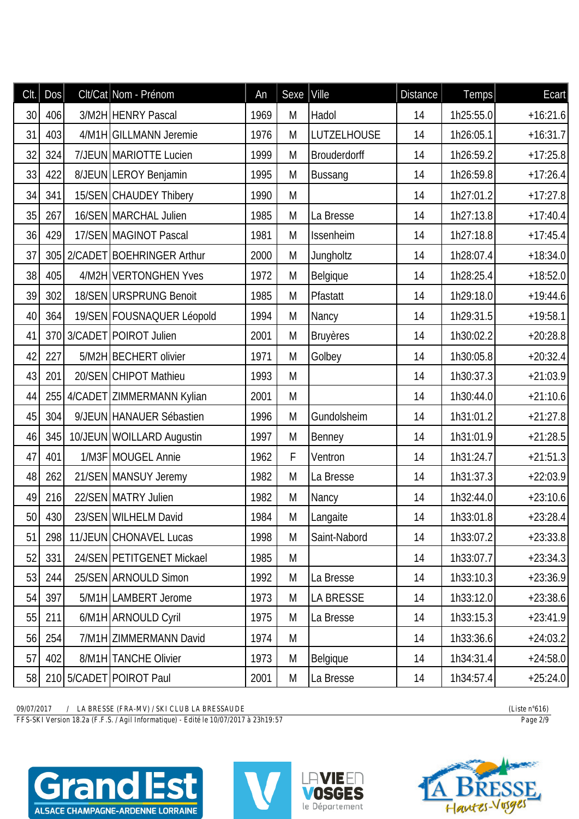| CIt. | DOS    | Clt/Cat Nom - Prénom           | An   | Sexe | Ville               | <b>Distance</b> | Temps     | Ecart      |
|------|--------|--------------------------------|------|------|---------------------|-----------------|-----------|------------|
| 30   | 406    | 3/M2H HENRY Pascal             | 1969 | M    | Hadol               | 14              | 1h25:55.0 | $+16:21.6$ |
| 31   | 403    | 4/M1H GILLMANN Jeremie         | 1976 | M    | <b>LUTZELHOUSE</b>  | 14              | 1h26:05.1 | $+16:31.7$ |
| 32   | 324    | 7/JEUN MARIOTTE Lucien         | 1999 | M    | <b>Brouderdorff</b> | 14              | 1h26:59.2 | $+17:25.8$ |
| 33   | 422    | 8/JEUN LEROY Benjamin          | 1995 | M    | Bussang             | 14              | 1h26:59.8 | $+17:26.4$ |
| 34   | 341    | 15/SEN CHAUDEY Thibery         | 1990 | M    |                     | 14              | 1h27:01.2 | $+17:27.8$ |
| 35   | 267    | 16/SEN MARCHAL Julien          | 1985 | M    | La Bresse           | 14              | 1h27:13.8 | $+17:40.4$ |
| 36   | 429    | 17/SEN MAGINOT Pascal          | 1981 | M    | Issenheim           | 14              | 1h27:18.8 | $+17:45.4$ |
| 37   |        | 305 2/ CADET BOEHRINGER Arthur | 2000 | M    | Jungholtz           | 14              | 1h28:07.4 | $+18:34.0$ |
| 38   | 405    | 4/M2H VERTONGHEN Yves          | 1972 | M    | Belgique            | 14              | 1h28:25.4 | $+18:52.0$ |
| 39   | 302    | 18/SEN URSPRUNG Benoit         | 1985 | M    | Pfastatt            | 14              | 1h29:18.0 | $+19:44.6$ |
| 40   | 364    | 19/SEN FOUSNAQUER Léopold      | 1994 | M    | Nancy               | 14              | 1h29:31.5 | $+19:58.1$ |
| 41   |        | 370 3/CADET POIROT Julien      | 2001 | M    | <b>Bruyères</b>     | 14              | 1h30:02.2 | $+20:28.8$ |
| 42   | 227    | 5/M2H BECHERT olivier          | 1971 | M    | Golbey              | 14              | 1h30:05.8 | $+20:32.4$ |
| 43   | 201    | 20/SEN CHIPOT Mathieu          | 1993 | M    |                     | 14              | 1h30:37.3 | $+21:03.9$ |
| 44   |        | 255 4/CADET ZIMMERMANN Kylian  | 2001 | M    |                     | 14              | 1h30:44.0 | $+21:10.6$ |
| 45   | 304    | 9/JEUN HANAUER Sébastien       | 1996 | M    | Gundolsheim         | 14              | 1h31:01.2 | $+21:27.8$ |
| 46   | 345    | 10/JEUN WOILLARD Augustin      | 1997 | M    | Benney              | 14              | 1h31:01.9 | $+21:28.5$ |
| 47   | 401    | 1/M3F MOUGEL Annie             | 1962 | F    | Ventron             | 14              | 1h31:24.7 | $+21:51.3$ |
| 48   | 262    | 21/SEN MANSUY Jeremy           | 1982 | M    | La Bresse           | 14              | 1h31:37.3 | $+22:03.9$ |
| 49   | 216    | 22/SEN MATRY Julien            | 1982 | M    | Nancy               | 14              | 1h32:44.0 | $+23:10.6$ |
|      | 50 430 | 23/SEN WILHELM David           | 1984 | M    | Langaite            | 14              | 1h33:01.8 | $+23:28.4$ |
| 51   | 298    | 11/JEUN CHONAVEL Lucas         | 1998 | M    | Saint-Nabord        | 14              | 1h33:07.2 | $+23:33.8$ |
| 52   | 331    | 24/SEN PETITGENET Mickael      | 1985 | M    |                     | 14              | 1h33:07.7 | $+23:34.3$ |
| 53   | 244    | 25/SEN ARNOULD Simon           | 1992 | M    | La Bresse           | 14              | 1h33:10.3 | $+23:36.9$ |
| 54   | 397    | 5/M1H LAMBERT Jerome           | 1973 | M    | <b>LA BRESSE</b>    | 14              | 1h33:12.0 | $+23:38.6$ |
| 55   | 211    | 6/M1H ARNOULD Cyril            | 1975 | M    | La Bresse           | 14              | 1h33:15.3 | $+23:41.9$ |
| 56   | 254    | 7/M1H ZIMMERMANN David         | 1974 | M    |                     | 14              | 1h33:36.6 | $+24:03.2$ |
| 57   | 402    | 8/M1H TANCHE Olivier           | 1973 | M    | Belgique            | 14              | 1h34:31.4 | $+24:58.0$ |
| 58   |        | 210 5/CADET POIROT Paul        | 2001 | M    | La Bresse           | 14              | 1h34:57.4 | $+25:24.0$ |

*FFS-SKI Version 18.2a (F.F.S. / Agil Informatique) - Edité le 10/07/2017 à 23h19:57 Page 2/9*







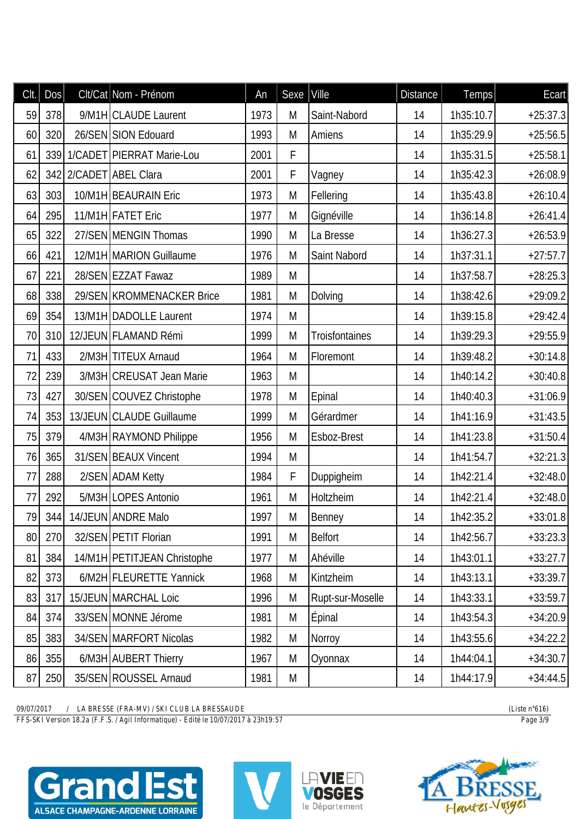| CIt. | DOS | Clt/Cat Nom - Prénom           | An   | Sexe | Ville            | <b>Distance</b> | Temps     | Ecart      |
|------|-----|--------------------------------|------|------|------------------|-----------------|-----------|------------|
| 59   | 378 | 9/M1H CLAUDE Laurent           | 1973 | M    | Saint-Nabord     | 14              | 1h35:10.7 | $+25:37.3$ |
| 60   | 320 | 26/SEN SION Edouard            | 1993 | M    | <b>Amiens</b>    | 14              | 1h35:29.9 | $+25:56.5$ |
| 61   |     | 339 1/ CADET PIERRAT Marie-Lou | 2001 | F    |                  | 14              | 1h35:31.5 | $+25:58.1$ |
| 62   |     | 342 2/CADET ABEL Clara         | 2001 | F    | Vagney           | 14              | 1h35:42.3 | $+26:08.9$ |
| 63   | 303 | 10/M1H BEAURAIN Eric           | 1973 | M    | Fellering        | 14              | 1h35:43.8 | $+26:10.4$ |
| 64   | 295 | 11/M1H FATET Eric              | 1977 | M    | Gignéville       | 14              | 1h36:14.8 | $+26:41.4$ |
| 65   | 322 | 27/SEN MENGIN Thomas           | 1990 | M    | La Bresse        | 14              | 1h36:27.3 | $+26:53.9$ |
| 66   | 421 | 12/M1H MARION Guillaume        | 1976 | M    | Saint Nabord     | 14              | 1h37:31.1 | $+27:57.7$ |
| 67   | 221 | 28/SEN EZZAT Fawaz             | 1989 | M    |                  | 14              | 1h37:58.7 | $+28:25.3$ |
| 68   | 338 | 29/SEN KROMMENACKER Brice      | 1981 | M    | Dolving          | 14              | 1h38:42.6 | $+29:09.2$ |
| 69   | 354 | 13/M1H DADOLLE Laurent         | 1974 | M    |                  | 14              | 1h39:15.8 | $+29:42.4$ |
| 70   | 310 | 12/JEUN FLAMAND Rémi           | 1999 | M    | Troisfontaines   | 14              | 1h39:29.3 | $+29:55.9$ |
| 71   | 433 | 2/M3H TITEUX Arnaud            | 1964 | M    | Floremont        | 14              | 1h39:48.2 | $+30:14.8$ |
| 72   | 239 | 3/M3H CREUSAT Jean Marie       | 1963 | M    |                  | 14              | 1h40:14.2 | $+30:40.8$ |
| 73   | 427 | 30/SEN COUVEZ Christophe       | 1978 | M    | Epinal           | 14              | 1h40:40.3 | $+31:06.9$ |
| 74   | 353 | 13/JEUN CLAUDE Guillaume       | 1999 | M    | Gérardmer        | 14              | 1h41:16.9 | $+31:43.5$ |
| 75   | 379 | 4/M3H RAYMOND Philippe         | 1956 | M    | Esboz-Brest      | 14              | 1h41:23.8 | $+31:50.4$ |
| 76   | 365 | 31/SEN BEAUX Vincent           | 1994 | M    |                  | 14              | 1h41:54.7 | $+32:21.3$ |
| 77   | 288 | 2/SEN ADAM Ketty               | 1984 | F    | Duppigheim       | 14              | 1h42:21.4 | $+32:48.0$ |
| 77   | 292 | 5/M3H LOPES Antonio            | 1961 | M    | Holtzheim        | 14              | 1h42:21.4 | $+32:48.0$ |
| 79   |     | 344 14/JEUN ANDRE Malo         | 1997 | M    | Benney           | 14              | 1h42:35.2 | $+33:01.8$ |
| 80   | 270 | 32/SEN PETIT Florian           | 1991 | M    | <b>Belfort</b>   | 14              | 1h42:56.7 | $+33:23.3$ |
| 81   | 384 | 14/M1H PETITJEAN Christophe    | 1977 | M    | Ahéville         | 14              | 1h43:01.1 | $+33:27.7$ |
| 82   | 373 | 6/M2H FLEURETTE Yannick        | 1968 | M    | Kintzheim        | 14              | 1h43:13.1 | $+33:39.7$ |
| 83   | 317 | 15/JEUN MARCHAL Loic           | 1996 | M    | Rupt-sur-Moselle | 14              | 1h43:33.1 | $+33:59.7$ |
| 84   | 374 | 33/SEN MONNE Jérome            | 1981 | M    | <b>Épinal</b>    | 14              | 1h43:54.3 | $+34:20.9$ |
| 85   | 383 | 34/SEN MARFORT Nicolas         | 1982 | M    | Norroy           | 14              | 1h43:55.6 | $+34:22.2$ |
| 86   | 355 | 6/M3H AUBERT Thierry           | 1967 | M    | Oyonnax          | 14              | 1h44:04.1 | $+34:30.7$ |
| 87   | 250 | 35/SEN ROUSSEL Arnaud          | 1981 | M    |                  | 14              | 1h44:17.9 | $+34:44.5$ |

*FFS-SKI Version 18.2a (F.F.S. / Agil Informatique) - Edité le 10/07/2017 à 23h19:57 Page 3/9*







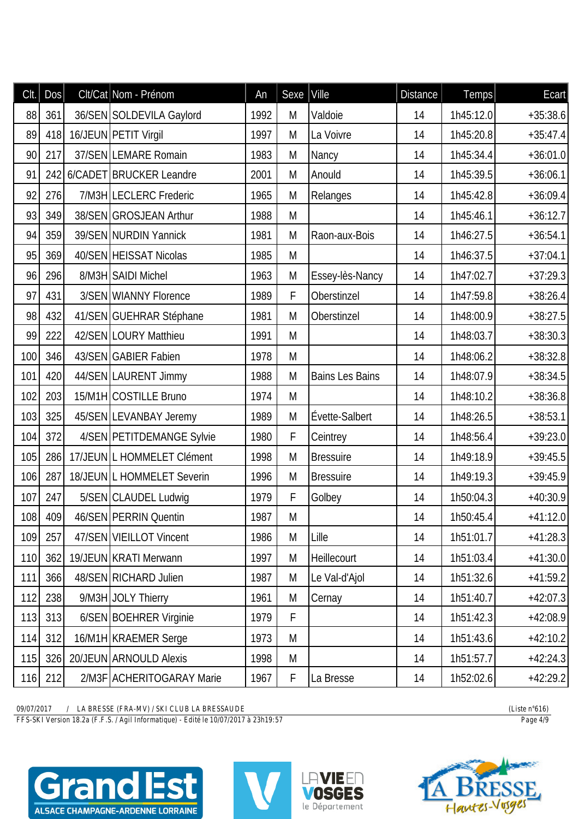| CIt. | DOS | Clt/Cat Nom - Prénom       | An   | Sexe | Ville                  | <b>Distance</b> | Temps     | Ecart      |
|------|-----|----------------------------|------|------|------------------------|-----------------|-----------|------------|
| 88   | 361 | 36/SEN SOLDEVILA Gaylord   | 1992 | M    | Valdoie                | 14              | 1h45:12.0 | $+35:38.6$ |
| 89   | 418 | 16/JEUN PETIT Virgil       | 1997 | M    | La Voivre              | 14              | 1h45:20.8 | $+35:47.4$ |
| 90   | 217 | 37/SEN LEMARE Romain       | 1983 | M    | Nancy                  | 14              | 1h45:34.4 | $+36:01.0$ |
| 91   | 242 | 6/CADET BRUCKER Leandre    | 2001 | M    | Anould                 | 14              | 1h45:39.5 | $+36:06.1$ |
| 92   | 276 | 7/M3H LECLERC Frederic     | 1965 | M    | Relanges               | 14              | 1h45:42.8 | $+36:09.4$ |
| 93   | 349 | 38/SEN GROSJEAN Arthur     | 1988 | M    |                        | 14              | 1h45:46.1 | $+36:12.7$ |
| 94   | 359 | 39/SEN NURDIN Yannick      | 1981 | M    | Raon-aux-Bois          | 14              | 1h46:27.5 | $+36:54.1$ |
| 95   | 369 | 40/SEN HEISSAT Nicolas     | 1985 | M    |                        | 14              | 1h46:37.5 | $+37:04.1$ |
| 96   | 296 | 8/M3H SAIDI Michel         | 1963 | M    | Essey-lès-Nancy        | 14              | 1h47:02.7 | $+37:29.3$ |
| 97   | 431 | 3/SEN WIANNY Florence      | 1989 | F    | Oberstinzel            | 14              | 1h47:59.8 | $+38:26.4$ |
| 98   | 432 | 41/SEN GUEHRAR Stéphane    | 1981 | M    | Oberstinzel            | 14              | 1h48:00.9 | $+38:27.5$ |
| 99   | 222 | 42/SEN LOURY Matthieu      | 1991 | M    |                        | 14              | 1h48:03.7 | $+38:30.3$ |
| 100  | 346 | 43/SEN GABIER Fabien       | 1978 | M    |                        | 14              | 1h48:06.2 | $+38:32.8$ |
| 101  | 420 | 44/SEN LAURENT Jimmy       | 1988 | M    | <b>Bains Les Bains</b> | 14              | 1h48:07.9 | $+38:34.5$ |
| 102  | 203 | 15/M1H COSTILLE Bruno      | 1974 | M    |                        | 14              | 1h48:10.2 | $+38:36.8$ |
| 103  | 325 | 45/SEN LEVANBAY Jeremy     | 1989 | M    | Évette-Salbert         | 14              | 1h48:26.5 | $+38:53.1$ |
| 104  | 372 | 4/SEN PETITDEMANGE Sylvie  | 1980 | F    | Ceintrey               | 14              | 1h48:56.4 | $+39:23.0$ |
| 105  | 286 | 17/JEUN L HOMMELET Clément | 1998 | M    | <b>Bressuire</b>       | 14              | 1h49:18.9 | $+39:45.5$ |
| 106  | 287 | 18/JEUN L HOMMELET Severin | 1996 | M    | <b>Bressuire</b>       | 14              | 1h49:19.3 | $+39:45.9$ |
| 107  | 247 | 5/SEN CLAUDEL Ludwig       | 1979 | F    | Golbey                 | 14              | 1h50:04.3 | $+40:30.9$ |
| 108  | 409 | 46/SEN PERRIN Quentin      | 1987 | M    |                        | 14              | 1h50:45.4 | $+41:12.0$ |
| 109  | 257 | 47/SEN VIEILLOT Vincent    | 1986 | M    | Lille                  | 14              | 1h51:01.7 | $+41:28.3$ |
| 110  | 362 | 19/JEUN KRATI Merwann      | 1997 | M    | Heillecourt            | 14              | 1h51:03.4 | $+41:30.0$ |
| 111  | 366 | 48/SEN RICHARD Julien      | 1987 | M    | Le Val-d'Ajol          | 14              | 1h51:32.6 | $+41:59.2$ |
| 112  | 238 | 9/M3H JOLY Thierry         | 1961 | M    | Cernay                 | 14              | 1h51:40.7 | $+42:07.3$ |
| 113  | 313 | 6/SEN BOEHRER Virginie     | 1979 | F    |                        | 14              | 1h51:42.3 | $+42:08.9$ |
| 114  | 312 | 16/M1H KRAEMER Serge       | 1973 | M    |                        | 14              | 1h51:43.6 | $+42:10.2$ |
| 115  | 326 | 20/JEUN ARNOULD Alexis     | 1998 | M    |                        | 14              | 1h51:57.7 | $+42:24.3$ |
| 116  | 212 | 2/M3F ACHERITOGARAY Marie  | 1967 | F    | La Bresse              | 14              | 1h52:02.6 | $+42:29.2$ |

*FFS-SKI Version 18.2a (F.F.S. / Agil Informatique) - Edité le 10/07/2017 à 23h19:57 Page 4/9*







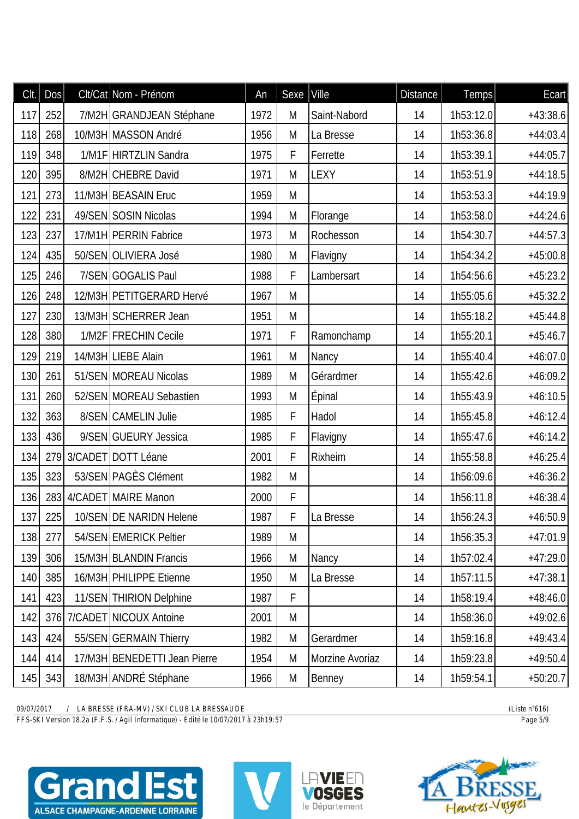| Clt. | Dos     | Clt/Cat Nom - Prénom         | An   | Sexe | Ville           | <b>Distance</b> | Temps     | Ecart      |
|------|---------|------------------------------|------|------|-----------------|-----------------|-----------|------------|
| 117  | 252     | 7/M2H GRANDJEAN Stéphane     | 1972 | M    | Saint-Nabord    | 14              | 1h53:12.0 | $+43:38.6$ |
| 118  | 268     | 10/M3H MASSON André          | 1956 | M    | La Bresse       | 14              | 1h53:36.8 | $+44:03.4$ |
| 119  | 348     | 1/M1F HIRTZLIN Sandra        | 1975 | F    | Ferrette        | 14              | 1h53:39.1 | $+44:05.7$ |
| 120  | 395     | 8/M2H CHEBRE David           | 1971 | M    | <b>LEXY</b>     | 14              | 1h53:51.9 | $+44:18.5$ |
| 121  | 273     | 11/M3H BEASAIN Eruc          | 1959 | M    |                 | 14              | 1h53:53.3 | $+44:19.9$ |
| 122  | 231     | 49/SEN SOSIN Nicolas         | 1994 | M    | Florange        | 14              | 1h53:58.0 | $+44:24.6$ |
| 123  | 237     | 17/M1H PERRIN Fabrice        | 1973 | M    | Rochesson       | 14              | 1h54:30.7 | $+44:57.3$ |
| 124  | 435     | 50/SEN OLIVIERA José         | 1980 | M    | Flavigny        | 14              | 1h54:34.2 | $+45:00.8$ |
| 125  | 246     | 7/SEN GOGALIS Paul           | 1988 | F    | Lambersart      | 14              | 1h54:56.6 | $+45:23.2$ |
| 126  | 248     | 12/M3H PETITGERARD Hervé     | 1967 | M    |                 | 14              | 1h55:05.6 | $+45:32.2$ |
| 127  | 230     | 13/M3H SCHERRER Jean         | 1951 | M    |                 | 14              | 1h55:18.2 | $+45:44.8$ |
| 128  | 380     | 1/M2F FRECHIN Cecile         | 1971 | F    | Ramonchamp      | 14              | 1h55:20.1 | $+45:46.7$ |
| 129  | 219     | 14/M3H LIEBE Alain           | 1961 | M    | Nancy           | 14              | 1h55:40.4 | $+46:07.0$ |
| 130  | 261     | 51/SEN MOREAU Nicolas        | 1989 | M    | Gérardmer       | 14              | 1h55:42.6 | $+46:09.2$ |
| 131  | 260     | 52/SEN MOREAU Sebastien      | 1993 | M    | Épinal          | 14              | 1h55:43.9 | $+46:10.5$ |
| 132  | 363     | 8/SEN CAMELIN Julie          | 1985 | F    | Hadol           | 14              | 1h55:45.8 | $+46:12.4$ |
| 133  | 436     | 9/SEN GUEURY Jessica         | 1985 | F    | Flavigny        | 14              | 1h55:47.6 | $+46:14.2$ |
| 134  | 279     | 3/CADET DOTT Léane           | 2001 | F    | Rixheim         | 14              | 1h55:58.8 | $+46:25.4$ |
| 135  | 323     | 53/SEN PAGÈS Clément         | 1982 | M    |                 | 14              | 1h56:09.6 | $+46:36.2$ |
| 136  |         | 283 4/CADET MAIRE Manon      | 2000 | F    |                 | 14              | 1h56:11.8 | $+46:38.4$ |
|      | 137 225 | 10/SEN DE NARIDN Helene      | 1987 | F    | La Bresse       | 14              | 1h56:24.3 | $+46:50.9$ |
| 138  | 277     | 54/SEN EMERICK Peltier       | 1989 | M    |                 | 14              | 1h56:35.3 | $+47:01.9$ |
| 139  | 306     | 15/M3H BLANDIN Francis       | 1966 | M    | Nancy           | 14              | 1h57:02.4 | $+47:29.0$ |
| 140  | 385     | 16/M3H PHILIPPE Etienne      | 1950 | M    | La Bresse       | 14              | 1h57:11.5 | $+47:38.1$ |
| 141  | 423     | 11/SEN THIRION Delphine      | 1987 | F    |                 | 14              | 1h58:19.4 | $+48:46.0$ |
| 142  | 376     | 7/CADET NICOUX Antoine       | 2001 | M    |                 | 14              | 1h58:36.0 | $+49:02.6$ |
| 143  | 424     | 55/SEN GERMAIN Thierry       | 1982 | M    | Gerardmer       | 14              | 1h59:16.8 | $+49:43.4$ |
| 144  | 414     | 17/M3H BENEDETTI Jean Pierre | 1954 | M    | Morzine Avoriaz | 14              | 1h59:23.8 | $+49:50.4$ |
| 145  | 343     | 18/M3H ANDRÉ Stéphane        | 1966 | M    | Benney          | 14              | 1h59:54.1 | $+50:20.7$ |

*FFS-SKI Version 18.2a (F.F.S. / Agil Informatique) - Edité le 10/07/2017 à 23h19:57 Page 5/9*







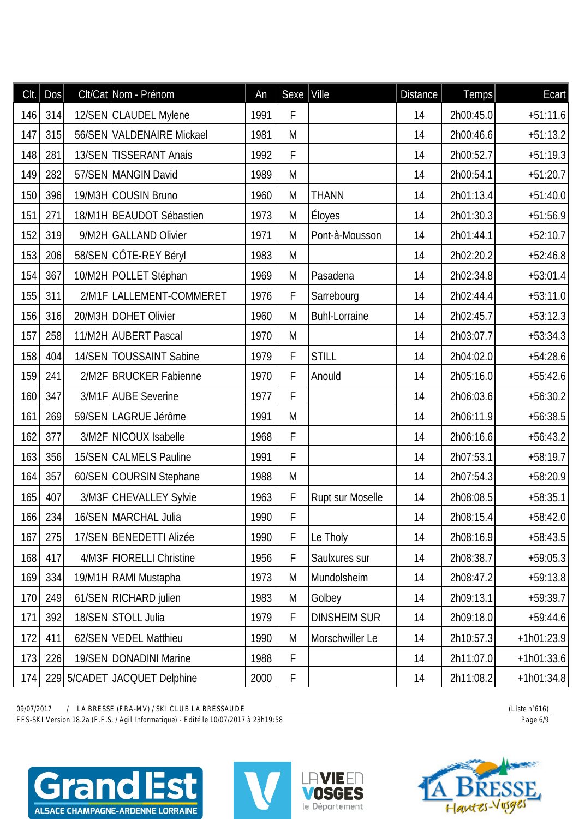| Clt. | Dos     | Clt/Cat Nom - Prénom         | An   | Sexe        | $ $ Ville               | <b>Distance</b> | Temps     | Ecart        |
|------|---------|------------------------------|------|-------------|-------------------------|-----------------|-----------|--------------|
| 146  | 314     | 12/SEN CLAUDEL Mylene        | 1991 | F           |                         | 14              | 2h00:45.0 | $+51:11.6$   |
| 147  | 315     | 56/SEN VALDENAIRE Mickael    | 1981 | M           |                         | 14              | 2h00:46.6 | $+51:13.2$   |
| 148  | 281     | 13/SEN TISSERANT Anais       | 1992 | F           |                         | 14              | 2h00:52.7 | $+51:19.3$   |
| 149  | 282     | 57/SEN MANGIN David          | 1989 | M           |                         | 14              | 2h00:54.1 | $+51:20.7$   |
| 150  | 396     | 19/M3H COUSIN Bruno          | 1960 | M           | <b>THANN</b>            | 14              | 2h01:13.4 | $+51:40.0$   |
| 151  | 271     | 18/M1H BEAUDOT Sébastien     | 1973 | M           | Éloyes                  | 14              | 2h01:30.3 | $+51:56.9$   |
| 152  | 319     | 9/M2H GALLAND Olivier        | 1971 | M           | Pont-à-Mousson          | 14              | 2h01:44.1 | $+52:10.7$   |
| 153  | 206     | 58/SEN CÔTE-REY Béryl        | 1983 | M           |                         | 14              | 2h02:20.2 | $+52:46.8$   |
| 154  | 367     | 10/M2H POLLET Stéphan        | 1969 | M           | Pasadena                | 14              | 2h02:34.8 | $+53:01.4$   |
| 155  | 311     | 2/M1F LALLEMENT-COMMERET     | 1976 | F           | Sarrebourg              | 14              | 2h02:44.4 | $+53:11.0$   |
| 156  | 316     | 20/M3H DOHET Olivier         | 1960 | M           | <b>Buhl-Lorraine</b>    | 14              | 2h02:45.7 | $+53:12.3$   |
| 157  | 258     | 11/M2H AUBERT Pascal         | 1970 | M           |                         | 14              | 2h03:07.7 | $+53:34.3$   |
| 158  | 404     | 14/SEN TOUSSAINT Sabine      | 1979 | F           | <b>STILL</b>            | 14              | 2h04:02.0 | $+54:28.6$   |
| 159  | 241     | 2/M2F BRUCKER Fabienne       | 1970 | F           | Anould                  | 14              | 2h05:16.0 | $+55:42.6$   |
| 160  | 347     | 3/M1F AUBE Severine          | 1977 | F           |                         | 14              | 2h06:03.6 | $+56:30.2$   |
| 161  | 269     | 59/SEN LAGRUE Jérôme         | 1991 | M           |                         | 14              | 2h06:11.9 | $+56:38.5$   |
| 162  | 377     | 3/M2F NICOUX Isabelle        | 1968 | F           |                         | 14              | 2h06:16.6 | $+56:43.2$   |
| 163  | 356     | 15/SEN CALMELS Pauline       | 1991 | F           |                         | 14              | 2h07:53.1 | $+58:19.7$   |
| 164  | 357     | 60/SEN COURSIN Stephane      | 1988 | M           |                         | 14              | 2h07:54.3 | $+58:20.9$   |
| 165  | 407     | 3/M3F CHEVALLEY Sylvie       | 1963 | F           | <b>Rupt sur Moselle</b> | 14              | 2h08:08.5 | $+58:35.1$   |
|      | 166 234 | 16/SEN MARCHAL Julia         | 1990 | F           |                         | 14              | 2h08:15.4 | $+58:42.0$   |
| 167  | 275     | 17/SEN BENEDETTI Alizée      | 1990 | F           | Le Tholy                | 14              | 2h08:16.9 | $+58:43.5$   |
| 168  | 417     | 4/M3F FIORELLI Christine     | 1956 | F           | Saulxures sur           | 14              | 2h08:38.7 | $+59:05.3$   |
| 169  | 334     | 19/M1H RAMI Mustapha         | 1973 | M           | Mundolsheim             | 14              | 2h08:47.2 | $+59:13.8$   |
| 170  | 249     | 61/SEN RICHARD julien        | 1983 | M           | Golbey                  | 14              | 2h09:13.1 | $+59:39.7$   |
| 171  | 392     | 18/SEN STOLL Julia           | 1979 | F           | <b>DINSHEIM SUR</b>     | 14              | 2h09:18.0 | $+59:44.6$   |
| 172  | 411     | 62/SEN VEDEL Matthieu        | 1990 | M           | Morschwiller Le         | 14              | 2h10:57.3 | $+1h01:23.9$ |
| 173  | 226     | 19/SEN DONADINI Marine       | 1988 | F           |                         | 14              | 2h11:07.0 | $+1h01:33.6$ |
| 174  |         | 229 5/CADET JACQUET Delphine | 2000 | $\mathsf F$ |                         | 14              | 2h11:08.2 | $+1h01:34.8$ |

*FFS-SKI Version 18.2a (F.F.S. / Agil Informatique) - Edité le 10/07/2017 à 23h19:58 Page 6/9*







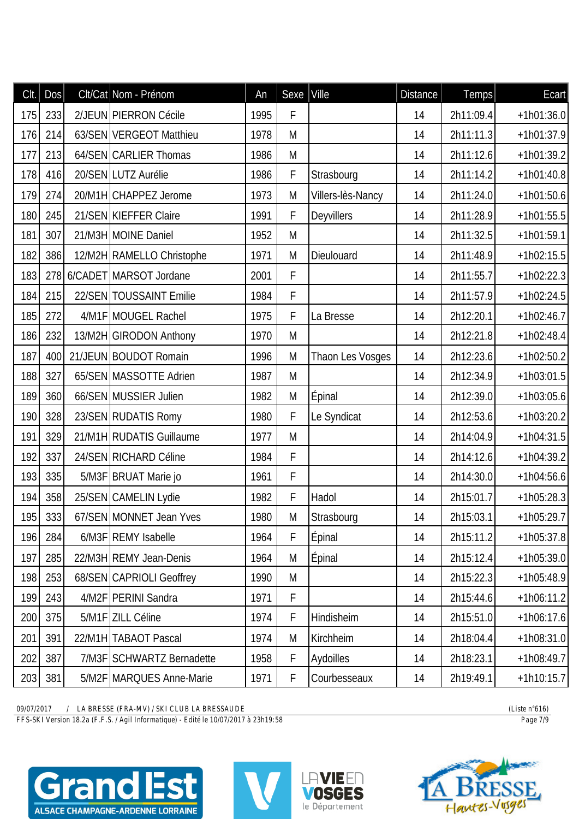| Clt. | DOS | Clt/Cat Nom - Prénom       | An   | Sexe | Ville             | <b>Distance</b> | Temps     | Ecart        |
|------|-----|----------------------------|------|------|-------------------|-----------------|-----------|--------------|
| 175  | 233 | 2/JEUN PIERRON Cécile      | 1995 | F    |                   | 14              | 2h11:09.4 | $+1h01:36.0$ |
| 176  | 214 | 63/SEN VERGEOT Matthieu    | 1978 | M    |                   | 14              | 2h11:11.3 | $+1h01:37.9$ |
| 177  | 213 | 64/SEN CARLIER Thomas      | 1986 | M    |                   | 14              | 2h11:12.6 | $+1h01:39.2$ |
| 178  | 416 | 20/SEN LUTZ Aurélie        | 1986 | F    | Strasbourg        | 14              | 2h11:14.2 | $+1h01:40.8$ |
| 179  | 274 | 20/M1H CHAPPEZ Jerome      | 1973 | M    | Villers-lès-Nancy | 14              | 2h11:24.0 | $+1h01:50.6$ |
| 180  | 245 | 21/SEN KIEFFER Claire      | 1991 | F    | Deyvillers        | 14              | 2h11:28.9 | $+1h01:55.5$ |
| 181  | 307 | 21/M3H MOINE Daniel        | 1952 | M    |                   | 14              | 2h11:32.5 | $+1h01:59.1$ |
| 182  | 386 | 12/M2H RAMELLO Christophe  | 1971 | M    | Dieulouard        | 14              | 2h11:48.9 | $+1h02:15.5$ |
| 183  |     | 278 6/CADET MARSOT Jordane | 2001 | F    |                   | 14              | 2h11:55.7 | $+1h02:22.3$ |
| 184  | 215 | 22/SEN TOUSSAINT Emilie    | 1984 | F    |                   | 14              | 2h11:57.9 | $+1h02:24.5$ |
| 185  | 272 | 4/M1F MOUGEL Rachel        | 1975 | F    | La Bresse         | 14              | 2h12:20.1 | $+1h02:46.7$ |
| 186  | 232 | 13/M2H GIRODON Anthony     | 1970 | M    |                   | 14              | 2h12:21.8 | $+1h02:48.4$ |
| 187  | 400 | 21/JEUN BOUDOT Romain      | 1996 | M    | Thaon Les Vosges  | 14              | 2h12:23.6 | $+1h02:50.2$ |
| 188  | 327 | 65/SEN MASSOTTE Adrien     | 1987 | M    |                   | 14              | 2h12:34.9 | $+1h03:01.5$ |
| 189  | 360 | 66/SEN MUSSIER Julien      | 1982 | M    | Epinal            | 14              | 2h12:39.0 | $+1h03:05.6$ |
| 190  | 328 | 23/SEN RUDATIS Romy        | 1980 | F    | Le Syndicat       | 14              | 2h12:53.6 | $+1h03:20.2$ |
| 191  | 329 | 21/M1H RUDATIS Guillaume   | 1977 | M    |                   | 14              | 2h14:04.9 | $+1h04:31.5$ |
| 192  | 337 | 24/SEN RICHARD Céline      | 1984 | F    |                   | 14              | 2h14:12.6 | $+1h04:39.2$ |
| 193  | 335 | 5/M3F BRUAT Marie jo       | 1961 | F    |                   | 14              | 2h14:30.0 | $+1h04:56.6$ |
| 194  | 358 | 25/SEN CAMELIN Lydie       | 1982 | F    | Hadol             | 14              | 2h15:01.7 | $+1h05:28.3$ |
| 195  | 333 | 67/SEN MONNET Jean Yves    | 1980 | M    | Strasbourg        | 14              | 2h15:03.1 | $+1h05:29.7$ |
| 196  | 284 | 6/M3F REMY Isabelle        | 1964 | F    | <b>Épinal</b>     | 14              | 2h15:11.2 | $+1h05:37.8$ |
| 197  | 285 | 22/M3H REMY Jean-Denis     | 1964 | M    | <b>Épinal</b>     | 14              | 2h15:12.4 | $+1h05:39.0$ |
| 198  | 253 | 68/SEN CAPRIOLI Geoffrey   | 1990 | M    |                   | 14              | 2h15:22.3 | $+1h05:48.9$ |
| 199  | 243 | 4/M2F   PERINI Sandra      | 1971 | F    |                   | 14              | 2h15:44.6 | $+1h06:11.2$ |
| 200  | 375 | 5/M1F ZILL Céline          | 1974 | F    | Hindisheim        | 14              | 2h15:51.0 | $+1h06:17.6$ |
| 201  | 391 | 22/M1H TABAOT Pascal       | 1974 | M    | Kirchheim         | 14              | 2h18:04.4 | $+1h08:31.0$ |
| 202  | 387 | 7/M3F SCHWARTZ Bernadette  | 1958 | F    | Aydoilles         | 14              | 2h18:23.1 | $+1h08:49.7$ |
| 203  | 381 | 5/M2F MARQUES Anne-Marie   | 1971 | F    | Courbesseaux      | 14              | 2h19:49.1 | $+1h10:15.7$ |

*FFS-SKI Version 18.2a (F.F.S. / Agil Informatique) - Edité le 10/07/2017 à 23h19:58 Page 7/9*







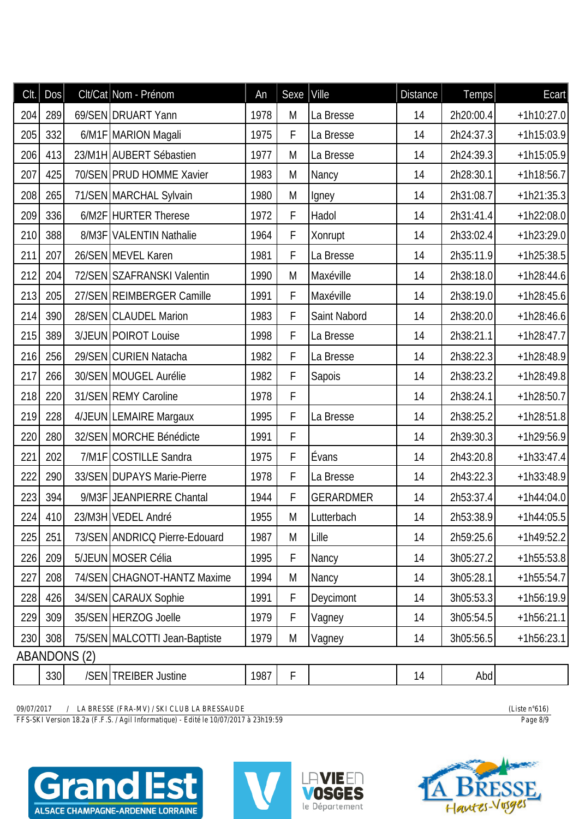| Clt. | <b>Dos</b> |                     | Clt/Cat Nom - Prénom          | An   | Sexe | Ville            | <b>Distance</b> | Temps     | Ecart        |
|------|------------|---------------------|-------------------------------|------|------|------------------|-----------------|-----------|--------------|
| 204  | 289        |                     | 69/SEN DRUART Yann            | 1978 | M    | La Bresse        | 14              | 2h20:00.4 | $+1h10:27.0$ |
| 205  | 332        |                     | 6/M1F MARION Magali           | 1975 | F    | La Bresse        | 14              | 2h24:37.3 | $+1h15:03.9$ |
| 206  | 413        |                     | 23/M1H AUBERT Sébastien       | 1977 | M    | La Bresse        | 14              | 2h24:39.3 | $+1h15:05.9$ |
| 207  | 425        |                     | 70/SEN PRUD HOMME Xavier      | 1983 | M    | Nancy            | 14              | 2h28:30.1 | $+1h18:56.7$ |
| 208  | 265        |                     | 71/SEN MARCHAL Sylvain        | 1980 | M    | Igney            | 14              | 2h31:08.7 | $+1h21:35.3$ |
| 209  | 336        |                     | 6/M2F HURTER Therese          | 1972 | F    | Hadol            | 14              | 2h31:41.4 | $+1h22:08.0$ |
| 210  | 388        |                     | 8/M3F VALENTIN Nathalie       | 1964 | F    | Xonrupt          | 14              | 2h33:02.4 | $+1h23:29.0$ |
| 211  | 207        |                     | 26/SEN MEVEL Karen            | 1981 | F    | La Bresse        | 14              | 2h35:11.9 | $+1h25:38.5$ |
| 212  | 204        |                     | 72/SEN SZAFRANSKI Valentin    | 1990 | M    | Maxéville        | 14              | 2h38:18.0 | $+1h28:44.6$ |
| 213  | 205        |                     | 27/SEN REIMBERGER Camille     | 1991 | F    | Maxéville        | 14              | 2h38:19.0 | $+1h28:45.6$ |
| 214  | 390        |                     | 28/SEN CLAUDEL Marion         | 1983 | F    | Saint Nabord     | 14              | 2h38:20.0 | $+1h28:46.6$ |
| 215  | 389        |                     | 3/JEUN POIROT Louise          | 1998 | F    | La Bresse        | 14              | 2h38:21.1 | $+1h28:47.7$ |
| 216  | 256        |                     | 29/SEN CURIEN Natacha         | 1982 | F    | La Bresse        | 14              | 2h38:22.3 | $+1h28:48.9$ |
| 217  | 266        |                     | 30/SEN MOUGEL Aurélie         | 1982 | F    | Sapois           | 14              | 2h38:23.2 | $+1h28:49.8$ |
| 218  | 220        |                     | 31/SEN REMY Caroline          | 1978 | F    |                  | 14              | 2h38:24.1 | $+1h28:50.7$ |
| 219  | 228        |                     | 4/JEUN LEMAIRE Margaux        | 1995 | F    | La Bresse        | 14              | 2h38:25.2 | $+1h28:51.8$ |
| 220  | 280        |                     | 32/SEN MORCHE Bénédicte       | 1991 | F    |                  | 14              | 2h39:30.3 | $+1h29:56.9$ |
| 221  | 202        |                     | 7/M1F COSTILLE Sandra         | 1975 | F    | Évans            | 14              | 2h43:20.8 | $+1h33:47.4$ |
| 222  | 290        |                     | 33/SEN DUPAYS Marie-Pierre    | 1978 | F    | La Bresse        | 14              | 2h43:22.3 | $+1h33:48.9$ |
| 223  | 394        |                     | 9/M3F JEANPIERRE Chantal      | 1944 | F    | <b>GERARDMER</b> | 14              | 2h53:37.4 | $+1h44:04.0$ |
|      | 224 410    |                     | 23/M3H VEDEL André            | 1955 | M    | Lutterbach       | 14              | 2h53:38.9 | $+1h44:05.5$ |
| 225  | 251        |                     | 73/SEN ANDRICQ Pierre-Edouard | 1987 | M    | Lille            | 14              | 2h59:25.6 | $+1h49:52.2$ |
| 226  | 209        |                     | 5/JEUN MOSER Célia            | 1995 | F    | Nancy            | 14              | 3h05:27.2 | $+1h55:53.8$ |
| 227  | 208        |                     | 74/SEN CHAGNOT-HANTZ Maxime   | 1994 | M    | Nancy            | 14              | 3h05:28.1 | $+1h55:54.7$ |
| 228  | 426        |                     | 34/SEN CARAUX Sophie          | 1991 | F    | Deycimont        | 14              | 3h05:53.3 | $+1h56:19.9$ |
| 229  | 309        |                     | 35/SEN HERZOG Joelle          | 1979 | F    | Vagney           | 14              | 3h05:54.5 | $+1h56:21.1$ |
| 230  | 308        |                     | 75/SEN MALCOTTI Jean-Baptiste | 1979 | M    | Vagney           | 14              | 3h05:56.5 | $+1h56:23.1$ |
|      |            | <b>ABANDONS (2)</b> |                               |      |      |                  |                 |           |              |
|      | 330        |                     | /SEN TREIBER Justine          | 1987 | F    |                  | 14              | Abd       |              |

*FFS-SKI Version 18.2a (F.F.S. / Agil Informatique) - Edité le 10/07/2017 à 23h19:59 Page 8/9*